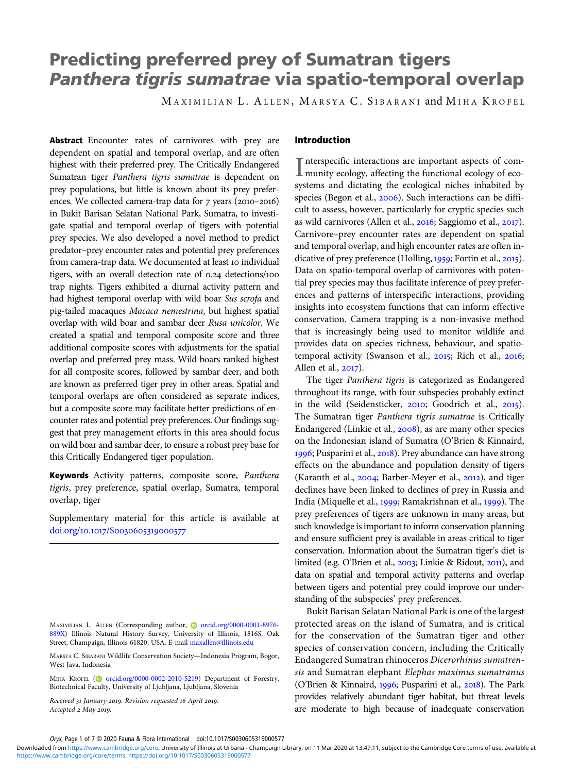# Predicting preferred prey of Sumatran tigers Panthera tigris sumatrae via spatio-temporal overlap

MAXIMILIAN L. ALLEN, MARSYA C. SIBARANI and MIHA KROFEL

Abstract Encounter rates of carnivores with prey are dependent on spatial and temporal overlap, and are often highest with their preferred prey. The Critically Endangered Sumatran tiger Panthera tigris sumatrae is dependent on prey populations, but little is known about its prey preferences. We collected camera-trap data for 7 years (2010-2016) in Bukit Barisan Selatan National Park, Sumatra, to investigate spatial and temporal overlap of tigers with potential prey species. We also developed a novel method to predict predator–prey encounter rates and potential prey preferences from camera-trap data. We documented at least 10 individual tigers, with an overall detection rate of 0.24 detections/100 trap nights. Tigers exhibited a diurnal activity pattern and had highest temporal overlap with wild boar Sus scrofa and pig-tailed macaques Macaca nemestrina, but highest spatial overlap with wild boar and sambar deer Rusa unicolor. We created a spatial and temporal composite score and three additional composite scores with adjustments for the spatial overlap and preferred prey mass. Wild boars ranked highest for all composite scores, followed by sambar deer, and both are known as preferred tiger prey in other areas. Spatial and temporal overlaps are often considered as separate indices, but a composite score may facilitate better predictions of encounter rates and potential prey preferences. Our findings suggest that prey management efforts in this area should focus on wild boar and sambar deer, to ensure a robust prey base for this Critically Endangered tiger population.

Keywords Activity patterns, composite score, Panthera tigris, prey preference, spatial overlap, Sumatra, temporal overlap, tiger

Supplementary material for this article is available at doi.org/10.1017/S0030605319000577

MIHA KROFEL [\(](https://orcid.org)@ [orcid.org/0000-0002-2010-5219\)](https://orcid.org/0000-0002-2010-5219) Department of Forestry, Biotechnical Faculty, University of Ljubljana, Ljubljana, Slovenia

Received 31 January 2019. Revision requested 16 April 2019. Accepted 2 May 2019.

# Introduction

Interspecific interactions are important aspects of com-<br>munity ecology, affecting the functional ecology of econterspecific interactions are important aspects of comsystems and dictating the ecological niches inhabited by species (Begon et al., 2006). Such interactions can be difficult to assess, however, particularly for cryptic species such as wild carnivores (Allen et al.,  $2016$ ; Saggiomo et al.,  $2017$ ). Carnivore–prey encounter rates are dependent on spatial and temporal overlap, and high encounter rates are often indicative of prey preference (Holling,  $1959$ ; Fortin et al.,  $2015$ ). Data on spatio-temporal overlap of carnivores with potential prey species may thus facilitate inference of prey preferences and patterns of interspecific interactions, providing insights into ecosystem functions that can inform effective conservation. Camera trapping is a non-invasive method that is increasingly being used to monitor wildlife and provides data on species richness, behaviour, and spatiotemporal activity (Swanson et al., 2015; Rich et al., 2016; Allen et al., 2017).

The tiger Panthera tigris is categorized as Endangered throughout its range, with four subspecies probably extinct in the wild (Seidensticker,  $2010$ ; Goodrich et al.,  $2015$ ). The Sumatran tiger Panthera tigris sumatrae is Critically Endangered (Linkie et al., 2008), as are many other species on the Indonesian island of Sumatra (O'Brien & Kinnaird, 1996; Pusparini et al., 2018). Prey abundance can have strong effects on the abundance and population density of tigers (Karanth et al.,  $2004$ ; Barber-Meyer et al.,  $2012$ ), and tiger declines have been linked to declines of prey in Russia and India (Miquelle et al., 1999; Ramakrishnan et al., 1999). The prey preferences of tigers are unknown in many areas, but such knowledge is important to inform conservation planning and ensure sufficient prey is available in areas critical to tiger conservation. Information about the Sumatran tiger's diet is limited (e.g. O'Brien et al., 2003; Linkie & Ridout, 2011), and data on spatial and temporal activity patterns and overlap between tigers and potential prey could improve our understanding of the subspecies' prey preferences.

Bukit Barisan Selatan National Park is one of the largest protected areas on the island of Sumatra, and is critical for the conservation of the Sumatran tiger and other species of conservation concern, including the Critically Endangered Sumatran rhinoceros Dicerorhinus sumatrensis and Sumatran elephant Elephas maximus sumatranus (O'Brien & Kinnaird, 1996; Pusparini et al., 2018). The Park provides relatively abundant tiger habitat, but threat levels are moderate to high because of inadequate conservation

MAXIMILIAN L. ALLEN (Corresponding author, @ [orcid.org/0000-0001-8976-](https://orcid.org/0000-0001-8976-889X) [889X\)](https://orcid.org/0000-0001-8976-889X) Illinois Natural History Survey, University of Illinois, 1816S. Oak Street, Champaign, Illinois 61820, USA. E-mail [maxallen@illinois.edu](mailto:maxallen@illinois.edu)

MARSYA C. SIBARANI Wildlife Conservation Society—Indonesia Program, Bogor, West Java, Indonesia

Oryx, Page 1 of 7 © 2020 Fauna & Flora International doi:10.1017/S0030605319000577

[https://www.cambridge.org/core/terms.](https://www.cambridge.org/core/terms) <https://doi.org/10.1017/S0030605319000577> Downloaded from [https://www.cambridge.org/core.](https://www.cambridge.org/core) University of Illinois at Urbana - Champaign Library, on 11 Mar 2020 at 13:47:11, subject to the Cambridge Core terms of use, available at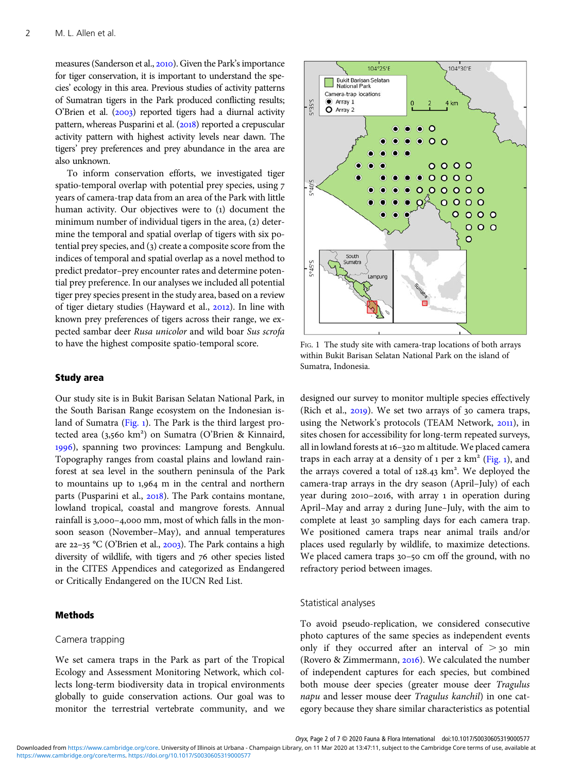measures (Sanderson et al., 2010). Given the Park's importance for tiger conservation, it is important to understand the species' ecology in this area. Previous studies of activity patterns of Sumatran tigers in the Park produced conflicting results; O'Brien et al.  $(2003)$  reported tigers had a diurnal activity pattern, whereas Pusparini et al. (2018) reported a crepuscular activity pattern with highest activity levels near dawn. The tigers' prey preferences and prey abundance in the area are also unknown.

To inform conservation efforts, we investigated tiger spatio-temporal overlap with potential prey species, using years of camera-trap data from an area of the Park with little human activity. Our objectives were to (1) document the minimum number of individual tigers in the area,  $(2)$  determine the temporal and spatial overlap of tigers with six potential prey species, and  $(3)$  create a composite score from the indices of temporal and spatial overlap as a novel method to predict predator–prey encounter rates and determine potential prey preference. In our analyses we included all potential tiger prey species present in the study area, based on a review of tiger dietary studies (Hayward et al., 2012). In line with known prey preferences of tigers across their range, we expected sambar deer Rusa unicolor and wild boar Sus scrofa to have the highest composite spatio-temporal score.

## Study area

Our study site is in Bukit Barisan Selatan National Park, in the South Barisan Range ecosystem on the Indonesian island of Sumatra (Fig. 1). The Park is the third largest protected area (3,560 km<sup>2</sup>) on Sumatra (O'Brien & Kinnaird, 1996), spanning two provinces: Lampung and Bengkulu. Topography ranges from coastal plains and lowland rainforest at sea level in the southern peninsula of the Park to mountains up to  $1,964$  m in the central and northern parts (Pusparini et al., 2018). The Park contains montane, lowland tropical, coastal and mangrove forests. Annual rainfall is 3,000-4,000 mm, most of which falls in the monsoon season (November–May), and annual temperatures are 22-35 °C (O'Brien et al., 2003). The Park contains a high diversity of wildlife, with tigers and 76 other species listed in the CITES Appendices and categorized as Endangered or Critically Endangered on the IUCN Red List.

# Methods

## Camera trapping

We set camera traps in the Park as part of the Tropical Ecology and Assessment Monitoring Network, which collects long-term biodiversity data in tropical environments globally to guide conservation actions. Our goal was to monitor the terrestrial vertebrate community, and we



FIG. 1 The study site with camera-trap locations of both arrays within Bukit Barisan Selatan National Park on the island of Sumatra, Indonesia.

designed our survey to monitor multiple species effectively (Rich et al.,  $2019$ ). We set two arrays of  $30$  camera traps, using the Network's protocols (TEAM Network, 2011), in sites chosen for accessibility for long-term repeated surveys, all in lowland forests at 16-320 m altitude. We placed camera traps in each array at a density of  $1$  per  $2 \text{ km}^2$  (Fig. 1), and the arrays covered a total of 128.43 km<sup>2</sup>. We deployed the camera-trap arrays in the dry season (April–July) of each year during  $2010 - 2016$ , with array 1 in operation during April–May and array 2 during June–July, with the aim to complete at least 30 sampling days for each camera trap. We positioned camera traps near animal trails and/or places used regularly by wildlife, to maximize detections. We placed camera traps  $30-50$  cm off the ground, with no refractory period between images.

## Statistical analyses

To avoid pseudo-replication, we considered consecutive photo captures of the same species as independent events only if they occurred after an interval of  $>$  30 min (Rovero & Zimmermann,  $2016$ ). We calculated the number of independent captures for each species, but combined both mouse deer species (greater mouse deer Tragulus napu and lesser mouse deer Tragulus kanchil) in one category because they share similar characteristics as potential

[https://www.cambridge.org/core/terms.](https://www.cambridge.org/core/terms) <https://doi.org/10.1017/S0030605319000577> Downloaded from [https://www.cambridge.org/core.](https://www.cambridge.org/core) University of Illinois at Urbana - Champaign Library, on 11 Mar 2020 at 13:47:11, subject to the Cambridge Core terms of use, available at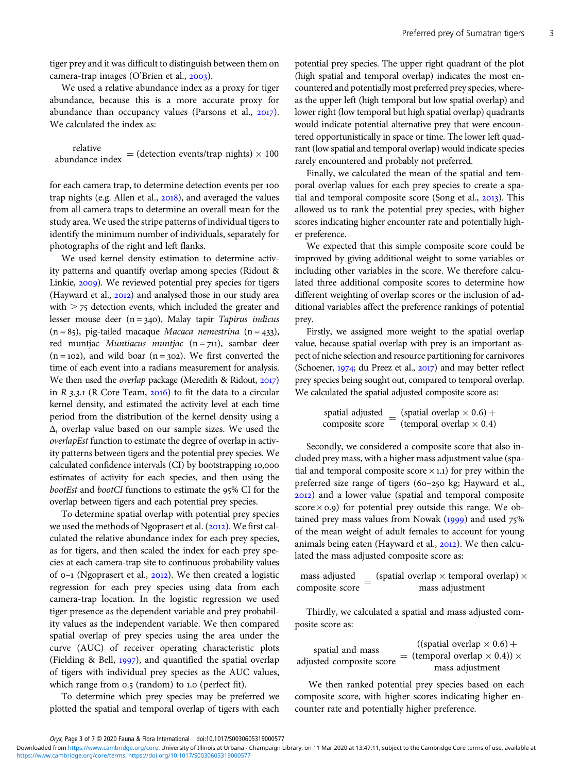tiger prey and it was difficult to distinguish between them on camera-trap images (O'Brien et al.,  $2003$ ).

We used a relative abundance index as a proxy for tiger abundance, because this is a more accurate proxy for abundance than occupancy values (Parsons et al.,  $2017$ ). We calculated the index as:

relative<br>abundance index = (detection events/trap nights)  $\times$  100

for each camera trap, to determine detection events per trap nights (e.g. Allen et al.,  $2018$ ), and averaged the values from all camera traps to determine an overall mean for the study area. We used the stripe patterns of individual tigers to identify the minimum number of individuals, separately for photographs of the right and left flanks.

We used kernel density estimation to determine activity patterns and quantify overlap among species (Ridout & Linkie, 2009). We reviewed potential prey species for tigers (Hayward et al.,  $2012$ ) and analysed those in our study area with  $>$  75 detection events, which included the greater and lesser mouse deer  $(n = 340)$ , Malay tapir Tapirus indicus  $(n = 85)$ , pig-tailed macaque Macaca nemestrina  $(n = 433)$ , red muntjac Muntiacus muntjac  $(n = 711)$ , sambar deer  $(n = 102)$ , and wild boar  $(n = 302)$ . We first converted the time of each event into a radians measurement for analysis. We then used the overlap package (Meredith & Ridout, 2017) in  $R$  3.3.1 (R Core Team, 2016) to fit the data to a circular kernel density, and estimated the activity level at each time period from the distribution of the kernel density using a  $\Delta$  overlap value based on our sample sizes. We used the overlapEst function to estimate the degree of overlap in activity patterns between tigers and the potential prey species. We calculated confidence intervals (CI) by bootstrapping 10,000 estimates of activity for each species, and then using the bootEst and bootCI functions to estimate the 95% CI for the overlap between tigers and each potential prey species.

To determine spatial overlap with potential prey species we used the methods of Ngoprasert et al. (2012). We first calculated the relative abundance index for each prey species, as for tigers, and then scaled the index for each prey species at each camera-trap site to continuous probability values of 0-1 (Ngoprasert et al., 2012). We then created a logistic regression for each prey species using data from each camera-trap location. In the logistic regression we used tiger presence as the dependent variable and prey probability values as the independent variable. We then compared spatial overlap of prey species using the area under the curve (AUC) of receiver operating characteristic plots (Fielding & Bell,  $1997$ ), and quantified the spatial overlap of tigers with individual prey species as the AUC values, which range from 0.5 (random) to 1.0 (perfect fit).

To determine which prey species may be preferred we plotted the spatial and temporal overlap of tigers with each

potential prey species. The upper right quadrant of the plot (high spatial and temporal overlap) indicates the most encountered and potentially most preferred prey species, whereas the upper left (high temporal but low spatial overlap) and lower right (low temporal but high spatial overlap) quadrants would indicate potential alternative prey that were encountered opportunistically in space or time. The lower left quadrant (low spatial and temporal overlap) would indicate species rarely encountered and probably not preferred.

Finally, we calculated the mean of the spatial and temporal overlap values for each prey species to create a spatial and temporal composite score (Song et al.,  $2013$ ). This allowed us to rank the potential prey species, with higher scores indicating higher encounter rate and potentially higher preference.

We expected that this simple composite score could be improved by giving additional weight to some variables or including other variables in the score. We therefore calculated three additional composite scores to determine how different weighting of overlap scores or the inclusion of additional variables affect the preference rankings of potential prey.

Firstly, we assigned more weight to the spatial overlap value, because spatial overlap with prey is an important aspect of niche selection and resource partitioning for carnivores (Schoener,  $1974$ ; du Preez et al.,  $2017$ ) and may better reflect prey species being sought out, compared to temporal overlap. We calculated the spatial adjusted composite score as:

> spatial adjusted (spatial overlap  $\times$  0.6) + spatial adjusted  $=$  (spatial overlap  $\times$  0.6) + composite score = (temporal overlap  $\times$  0.4)

Secondly, we considered a composite score that also included prey mass, with a higher mass adjustment value (spatial and temporal composite score  $\times$  1.1) for prey within the preferred size range of tigers (60-250 kg; Hayward et al., ) and a lower value (spatial and temporal composite score  $\times$  0.9) for potential prey outside this range. We obtained prey mass values from Nowak  $(1999)$  and used  $75%$ of the mean weight of adult females to account for young animals being eaten (Hayward et al.,  $2012$ ). We then calculated the mass adjusted composite score as:

mass adjusted mass adjusted  $_{\text{composite score}} = \frac{\text{(spatial overlap)} \times \text{temporal overlap}}{\text{mass adjustment}}$ mass adjustment

Thirdly, we calculated a spatial and mass adjusted composite score as:

spatial and mass adjusted composite score = ((spatial overlap  $\times$  0.6) +  $=$  (temporal overlap  $\times$  0.4))  $\times$ mass adjustment

We then ranked potential prey species based on each composite score, with higher scores indicating higher encounter rate and potentially higher preference.

Oryx, Page 3 of 7 © 2020 Fauna & Flora International doi:10.1017/S0030605319000577

[https://www.cambridge.org/core/terms.](https://www.cambridge.org/core/terms) <https://doi.org/10.1017/S0030605319000577> Downloaded from [https://www.cambridge.org/core.](https://www.cambridge.org/core) University of Illinois at Urbana - Champaign Library, on 11 Mar 2020 at 13:47:11, subject to the Cambridge Core terms of use, available at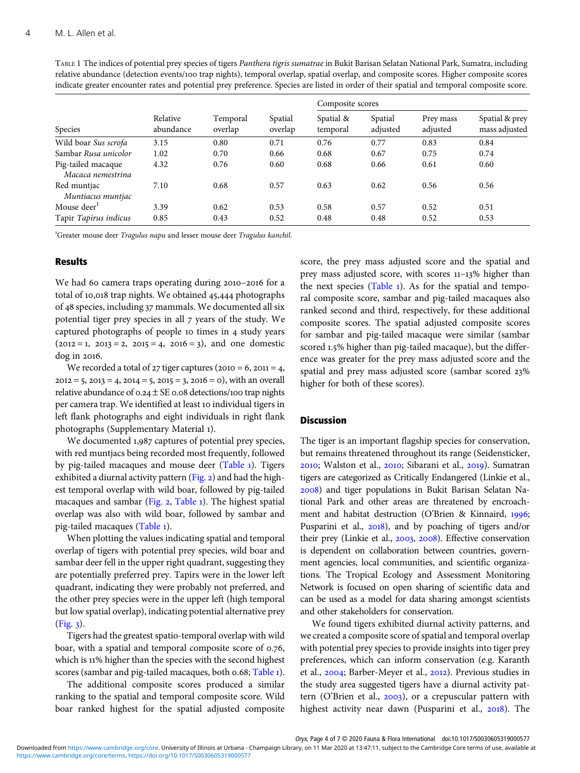TABLE 1 The indices of potential prey species of tigers Panthera tigris sumatrae in Bukit Barisan Selatan National Park, Sumatra, including relative abundance (detection events/ trap nights), temporal overlap, spatial overlap, and composite scores. Higher composite scores indicate greater encounter rates and potential prey preference. Species are listed in order of their spatial and temporal composite score.

| Species                                 | Relative<br>abundance | Temporal<br>overlap | Spatial<br>overlap | Composite scores      |                     |                       |                                 |
|-----------------------------------------|-----------------------|---------------------|--------------------|-----------------------|---------------------|-----------------------|---------------------------------|
|                                         |                       |                     |                    | Spatial &<br>temporal | Spatial<br>adjusted | Prey mass<br>adjusted | Spatial & prey<br>mass adjusted |
| Wild boar Sus scrofa                    | 3.15                  | 0.80                | 0.71               | 0.76                  | 0.77                | 0.83                  | 0.84                            |
| Sambar Rusa unicolor                    | 1.02                  | 0.70                | 0.66               | 0.68                  | 0.67                | 0.75                  | 0.74                            |
| Pig-tailed macaque<br>Macaca nemestrina | 4.32                  | 0.76                | 0.60               | 0.68                  | 0.66                | 0.61                  | 0.60                            |
| Red muntjac<br>Muntiacus muntjac        | 7.10                  | 0.68                | 0.57               | 0.63                  | 0.62                | 0.56                  | 0.56                            |
| Mouse deer <sup>1</sup>                 | 3.39                  | 0.62                | 0.53               | 0.58                  | 0.57                | 0.52                  | 0.51                            |
| Tapir Tapirus indicus                   | 0.85                  | 0.43                | 0.52               | 0.48                  | 0.48                | 0.52                  | 0.53                            |

<sup>1</sup>Greater mouse deer Tragulus napu and lesser mouse deer Tragulus kanchil.

# **Results**

We had 60 camera traps operating during  $2010 - 2016$  for a total of 10,018 trap nights. We obtained 45,444 photographs of 48 species, including 37 mammals. We documented all six potential tiger prey species in all  $\bar{z}$  years of the study. We captured photographs of people to times in 4 study years  $(2012 = 1, 2013 = 2, 2015 = 4, 2016 = 3)$ , and one domestic dog in 2016.

We recorded a total of  $27$  tiger captures ( $2010 = 6$ ,  $2011 = 4$ ,  $2012 = 5$ ,  $2013 = 4$ ,  $2014 = 5$ ,  $2015 = 3$ ,  $2016 = 0$ , with an overall relative abundance of  $0.24 \pm SE$  0.08 detections/100 trap nights per camera trap. We identified at least 10 individual tigers in left flank photographs and eight individuals in right flank photographs (Supplementary Material ).

We documented 1,987 captures of potential prey species, with red muntjacs being recorded most frequently, followed by pig-tailed macaques and mouse deer (Table 1). Tigers exhibited a diurnal activity pattern  $(Fig. 2)$  $(Fig. 2)$  and had the highest temporal overlap with wild boar, followed by pig-tailed macaques and sambar [\(Fig.](#page-4-0)  $2$ , Table 1). The highest spatial overlap was also with wild boar, followed by sambar and pig-tailed macaques (Table ).

When plotting the values indicating spatial and temporal overlap of tigers with potential prey species, wild boar and sambar deer fell in the upper right quadrant, suggesting they are potentially preferred prey. Tapirs were in the lower left quadrant, indicating they were probably not preferred, and the other prey species were in the upper left (high temporal but low spatial overlap), indicating potential alternative prey [\(Fig.](#page-4-0) ).

Tigers had the greatest spatio-temporal overlap with wild boar, with a spatial and temporal composite score of 0.76, which is 11% higher than the species with the second highest scores (sambar and pig-tailed macaques, both 0.68; Table 1).

The additional composite scores produced a similar ranking to the spatial and temporal composite score. Wild boar ranked highest for the spatial adjusted composite score, the prey mass adjusted score and the spatial and prey mass adjusted score, with scores  $11-13\%$  higher than the next species (Table  $_1$ ). As for the spatial and temporal composite score, sambar and pig-tailed macaques also ranked second and third, respectively, for these additional composite scores. The spatial adjusted composite scores for sambar and pig-tailed macaque were similar (sambar scored 1.5% higher than pig-tailed macaque), but the difference was greater for the prey mass adjusted score and the spatial and prey mass adjusted score (sambar scored 23% higher for both of these scores).

#### Discussion

The tiger is an important flagship species for conservation, but remains threatened throughout its range (Seidensticker, 2010; Walston et al., 2010; Sibarani et al., 2019). Sumatran tigers are categorized as Critically Endangered (Linkie et al., ) and tiger populations in Bukit Barisan Selatan National Park and other areas are threatened by encroachment and habitat destruction (O'Brien & Kinnaird, 1996; Pusparini et al., 2018), and by poaching of tigers and/or their prey (Linkie et al.,  $2003$ ,  $2008$ ). Effective conservation is dependent on collaboration between countries, government agencies, local communities, and scientific organizations. The Tropical Ecology and Assessment Monitoring Network is focused on open sharing of scientific data and can be used as a model for data sharing amongst scientists and other stakeholders for conservation.

We found tigers exhibited diurnal activity patterns, and we created a composite score of spatial and temporal overlap with potential prey species to provide insights into tiger prey preferences, which can inform conservation (e.g. Karanth et al.,  $2004$ ; Barber-Meyer et al.,  $2012$ ). Previous studies in the study area suggested tigers have a diurnal activity pattern (O'Brien et al.,  $2003$ ), or a crepuscular pattern with highest activity near dawn (Pusparini et al.,  $2018$ ). The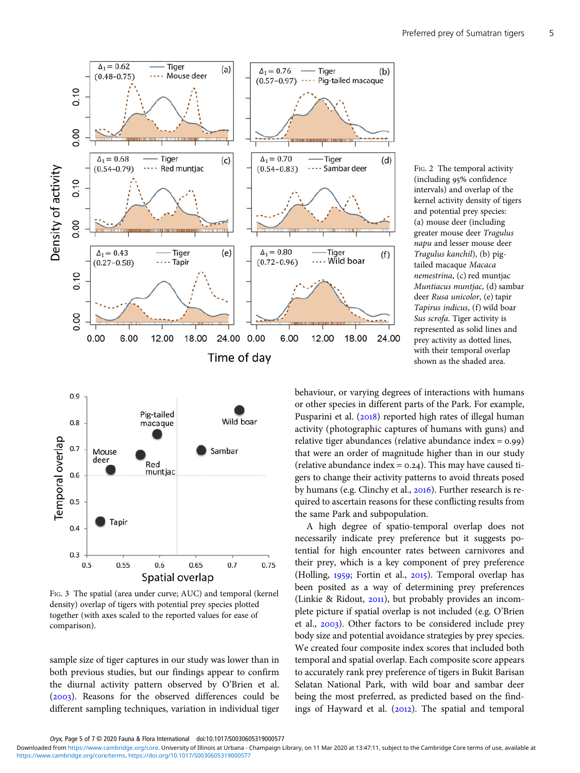<span id="page-4-0"></span>

FIG. 2 The temporal activity (including 95% confidence intervals) and overlap of the kernel activity density of tigers and potential prey species: (a) mouse deer (including greater mouse deer Tragulus napu and lesser mouse deer Tragulus kanchil), (b) pigtailed macaque Macaca nemestrina, (c) red muntjac Muntiacus muntjac, (d) sambar deer Rusa unicolor, (e) tapir Tapirus indicus, (f) wild boar Sus scrofa. Tiger activity is represented as solid lines and prey activity as dotted lines, with their temporal overlap shown as the shaded area.



FIG. 3 The spatial (area under curve; AUC) and temporal (kernel density) overlap of tigers with potential prey species plotted together (with axes scaled to the reported values for ease of comparison).

sample size of tiger captures in our study was lower than in both previous studies, but our findings appear to confirm the diurnal activity pattern observed by O'Brien et al. (2003). Reasons for the observed differences could be different sampling techniques, variation in individual tiger

behaviour, or varying degrees of interactions with humans or other species in different parts of the Park. For example, Pusparini et al. (2018) reported high rates of illegal human activity (photographic captures of humans with guns) and relative tiger abundances (relative abundance index =  $0.99$ ) that were an order of magnitude higher than in our study (relative abundance index =  $0.24$ ). This may have caused tigers to change their activity patterns to avoid threats posed by humans (e.g. Clinchy et al., 2016). Further research is required to ascertain reasons for these conflicting results from the same Park and subpopulation.

A high degree of spatio-temporal overlap does not necessarily indicate prey preference but it suggests potential for high encounter rates between carnivores and their prey, which is a key component of prey preference (Holling, 1959; Fortin et al., 2015). Temporal overlap has been posited as a way of determining prey preferences (Linkie & Ridout,  $2011$ ), but probably provides an incomplete picture if spatial overlap is not included (e.g. O'Brien et al., 2003). Other factors to be considered include prey body size and potential avoidance strategies by prey species. We created four composite index scores that included both temporal and spatial overlap. Each composite score appears to accurately rank prey preference of tigers in Bukit Barisan Selatan National Park, with wild boar and sambar deer being the most preferred, as predicted based on the findings of Hayward et al.  $(2012)$ . The spatial and temporal

Oryx, Page 5 of 7 © 2020 Fauna & Flora International doi:10.1017/S0030605319000577

[https://www.cambridge.org/core/terms.](https://www.cambridge.org/core/terms) <https://doi.org/10.1017/S0030605319000577> Downloaded from [https://www.cambridge.org/core.](https://www.cambridge.org/core) University of Illinois at Urbana - Champaign Library, on 11 Mar 2020 at 13:47:11, subject to the Cambridge Core terms of use, available at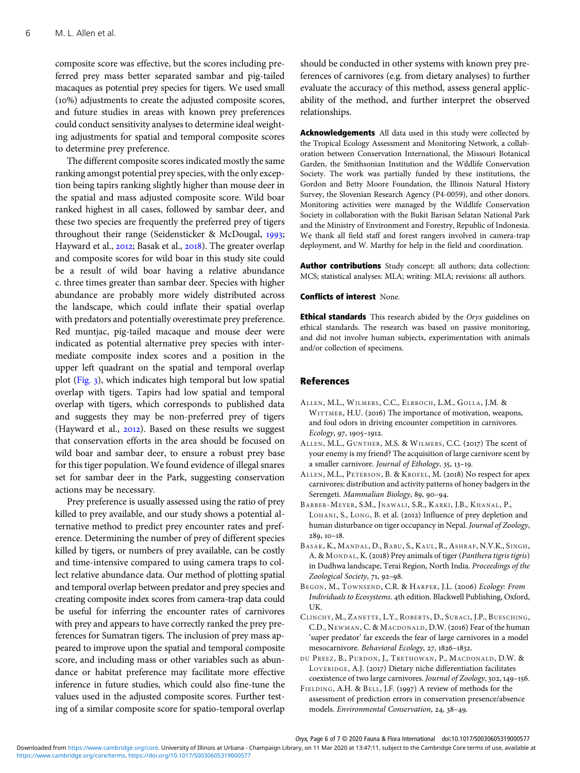<span id="page-5-0"></span>composite score was effective, but the scores including preferred prey mass better separated sambar and pig-tailed macaques as potential prey species for tigers. We used small  $(10%)$  adjustments to create the adjusted composite scores, and future studies in areas with known prey preferences could conduct sensitivity analyses to determine ideal weighting adjustments for spatial and temporal composite scores to determine prey preference.

The different composite scores indicated mostly the same ranking amongst potential prey species, with the only exception being tapirs ranking slightly higher than mouse deer in the spatial and mass adjusted composite score. Wild boar ranked highest in all cases, followed by sambar deer, and these two species are frequently the preferred prey of tigers throughout their range (Seidensticker & McDougal, 1993; Hayward et al., 2012; Basak et al., 2018). The greater overlap and composite scores for wild boar in this study site could be a result of wild boar having a relative abundance c. three times greater than sambar deer. Species with higher abundance are probably more widely distributed across the landscape, which could inflate their spatial overlap with predators and potentially overestimate prey preference. Red muntjac, pig-tailed macaque and mouse deer were indicated as potential alternative prey species with intermediate composite index scores and a position in the upper left quadrant on the spatial and temporal overlap plot ([Fig.](#page-4-0) ), which indicates high temporal but low spatial overlap with tigers. Tapirs had low spatial and temporal overlap with tigers, which corresponds to published data and suggests they may be non-preferred prey of tigers (Hayward et al.,  $2012$ ). Based on these results we suggest that conservation efforts in the area should be focused on wild boar and sambar deer, to ensure a robust prey base for this tiger population. We found evidence of illegal snares set for sambar deer in the Park, suggesting conservation actions may be necessary.

Prey preference is usually assessed using the ratio of prey killed to prey available, and our study shows a potential alternative method to predict prey encounter rates and preference. Determining the number of prey of different species killed by tigers, or numbers of prey available, can be costly and time-intensive compared to using camera traps to collect relative abundance data. Our method of plotting spatial and temporal overlap between predator and prey species and creating composite index scores from camera-trap data could be useful for inferring the encounter rates of carnivores with prey and appears to have correctly ranked the prey preferences for Sumatran tigers. The inclusion of prey mass appeared to improve upon the spatial and temporal composite score, and including mass or other variables such as abundance or habitat preference may facilitate more effective inference in future studies, which could also fine-tune the values used in the adjusted composite scores. Further testing of a similar composite score for spatio-temporal overlap

should be conducted in other systems with known prey preferences of carnivores (e.g. from dietary analyses) to further evaluate the accuracy of this method, assess general applicability of the method, and further interpret the observed relationships.

Acknowledgements All data used in this study were collected by the Tropical Ecology Assessment and Monitoring Network, a collaboration between Conservation International, the Missouri Botanical Garden, the Smithsonian Institution and the Wildlife Conservation Society. The work was partially funded by these institutions, the Gordon and Betty Moore Foundation, the Illinois Natural History Survey, the Slovenian Research Agency (P4-0059), and other donors. Monitoring activities were managed by the Wildlife Conservation Society in collaboration with the Bukit Barisan Selatan National Park and the Ministry of Environment and Forestry, Republic of Indonesia. We thank all field staff and forest rangers involved in camera-trap deployment, and W. Marthy for help in the field and coordination.

Author contributions Study concept: all authors; data collection: MCS; statistical analyses: MLA; writing: MLA; revisions: all authors.

## Conflicts of interest None.

**Ethical standards** This research abided by the Oryx guidelines on ethical standards. The research was based on passive monitoring, and did not involve human subjects, experimentation with animals and/or collection of specimens.

#### References

- ALLEN, M.L., WILMERS, C.C., ELBROCH, L.M., GOLLA, J.M. & WITTMER, H.U. (2016) The importance of motivation, weapons, and foul odors in driving encounter competition in carnivores.  $Ecology, 97, 1905 - 1912.$
- ALLEN, M.L., GUNTHER, M.S. & WILMERS, C.C. (2017) The scent of your enemy is my friend? The acquisition of large carnivore scent by a smaller carnivore. Journal of Ethology,  $35, 13-19$ .
- ALLEN, M.L., PETERSON, B. & KROFEL, M. (2018) No respect for apex carnivores: distribution and activity patterns of honey badgers in the Serengeti. Mammalian Biology, 89, 90-94.
- BARBER-MEYER, S.M., JNAWALI, S.R., KARKI, J.B., KHANAL, P., LOHANI, S., LONG, B. et al. (2012) Influence of prey depletion and human disturbance on tiger occupancy in Nepal. Journal of Zoology,  $289, 10-18.$
- BASAK, K., MANDAL, D., BABU, S., KAUL, R., ASHRAF, N.V.K., SINGH, A. & MONDAL, K. (2018) Prey animals of tiger (Panthera tigris tigris) in Dudhwa landscape, Terai Region, North India. Proceedings of the Zoological Society, 71, 92-98.
- BEGON, M., TOWNSEND, C.R. & HARPER, J.L. (2006) Ecology: From Individuals to Ecosystems. 4th edition. Blackwell Publishing, Oxford, UK.
- CLINCHY, M., ZANETTE, L.Y., ROBERTS , D., SURACI, J.P., BUESCHING, C.D., NEWMAN, C. & MACDONALD, D.W. (2016) Fear of the human 'super predator' far exceeds the fear of large carnivores in a model mesocarnivore. Behavioral Ecology, 27, 1826-1832.
- DU PREEZ, B., PURDON, J., TRETHOWAN, P., MACDONALD, D.W. & LOVERIDGE, A.J. (2017) Dietary niche differentiation facilitates coexistence of two large carnivores. Journal of Zoology, 302, 149-156.
- FIELDING, A.H. & BELL, J.F. (1997) A review of methods for the assessment of prediction errors in conservation presence/absence models. Environmental Conservation, 24, 38-49.

Oryx, Page 6 of 7 © 2020 Fauna & Flora International doi:10.1017/S0030605319000577